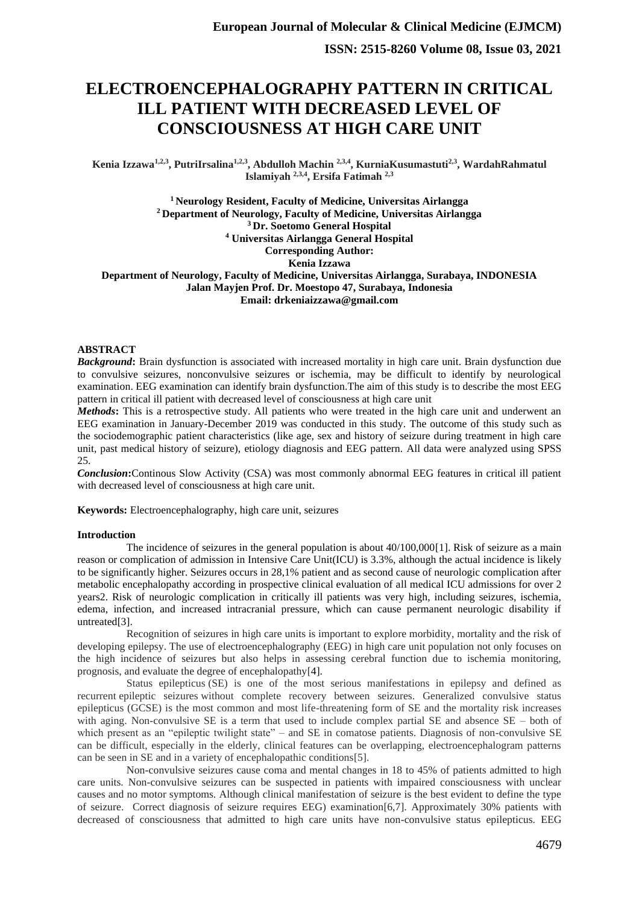# **ELECTROENCEPHALOGRAPHY PATTERN IN CRITICAL ILL PATIENT WITH DECREASED LEVEL OF CONSCIOUSNESS AT HIGH CARE UNIT**

**Kenia Izzawa1,2,3, PutriIrsalina1,2,3, Abdulloh Machin 2,3,4, KurniaKusumastuti2,3, WardahRahmatul Islamiyah 2,3,4, Ersifa Fatimah 2,3**

**<sup>1</sup>Neurology Resident, Faculty of Medicine, Universitas Airlangga <sup>2</sup>Department of Neurology, Faculty of Medicine, Universitas Airlangga <sup>3</sup>Dr. Soetomo General Hospital <sup>4</sup> Universitas Airlangga General Hospital Corresponding Author: Kenia Izzawa Department of Neurology, Faculty of Medicine, Universitas Airlangga, Surabaya, INDONESIA Jalan Mayjen Prof. Dr. Moestopo 47, Surabaya, Indonesia Email: drkeniaizzawa@gmail.com**

### **ABSTRACT**

*Background***:** Brain dysfunction is associated with increased mortality in high care unit. Brain dysfunction due to convulsive seizures, nonconvulsive seizures or ischemia, may be difficult to identify by neurological examination. EEG examination can identify brain dysfunction.The aim of this study is to describe the most EEG pattern in critical ill patient with decreased level of consciousness at high care unit

*Methods***:** This is a retrospective study. All patients who were treated in the high care unit and underwent an EEG examination in January-December 2019 was conducted in this study. The outcome of this study such as the sociodemographic patient characteristics (like age, sex and history of seizure during treatment in high care unit, past medical history of seizure), etiology diagnosis and EEG pattern. All data were analyzed using SPSS 25.

*Conclusion***:**Continous Slow Activity (CSA) was most commonly abnormal EEG features in critical ill patient with decreased level of consciousness at high care unit.

**Keywords:** Electroencephalography, high care unit, seizures

### **Introduction**

The incidence of seizures in the general population is about 40/100,000[1]. Risk of seizure as a main reason or complication of admission in Intensive Care Unit(ICU) is 3.3%, although the actual incidence is likely to be significantly higher. Seizures occurs in 28,1% patient and as second cause of neurologic complication after metabolic encephalopathy according in prospective clinical evaluation of all medical ICU admissions for over 2 years2. Risk of neurologic complication in critically ill patients was very high, including seizures, ischemia, edema, infection, and increased intracranial pressure, which can cause permanent neurologic disability if untreated[3].

Recognition of seizures in high care units is important to explore morbidity, mortality and the risk of developing epilepsy. The use of electroencephalography (EEG) in high care unit population not only focuses on the high incidence of seizures but also helps in assessing cerebral function due to ischemia monitoring, prognosis, and evaluate the degree of encephalopathy[4].

[Status epilepticus](https://www.sciencedirect.com/topics/medicine-and-dentistry/status-epilepticus) (SE) is one of the most serious manifestations in epilepsy and defined as recurrent [epileptic seizures](https://www.sciencedirect.com/topics/neuroscience/epileptic-seizure) without complete recovery between seizures. Generalized convulsive status epilepticus (GCSE) is the most common and most life-threatening form of SE and the mortality risk increases with aging. Non-convulsive SE is a term that used to include complex partial SE and absence SE – both of which present as an "epileptic twilight state" – and SE in comatose patients. Diagnosis of non-convulsive SE can be difficult, especially in the elderly, clinical features can be overlapping, electroencephalogram patterns can be seen in SE and in a variety of encephalopathic conditions[5].

Non-convulsive seizures cause coma and mental changes in 18 to 45% of patients admitted to high care units. Non-convulsive seizures can be suspected in patients with impaired consciousness with unclear causes and no motor symptoms. Although clinical manifestation of seizure is the best evident to define the type of seizure. Correct diagnosis of seizure requires EEG) examination[6,7]. Approximately 30% patients with decreased of consciousness that admitted to high care units have non-convulsive status epilepticus. EEG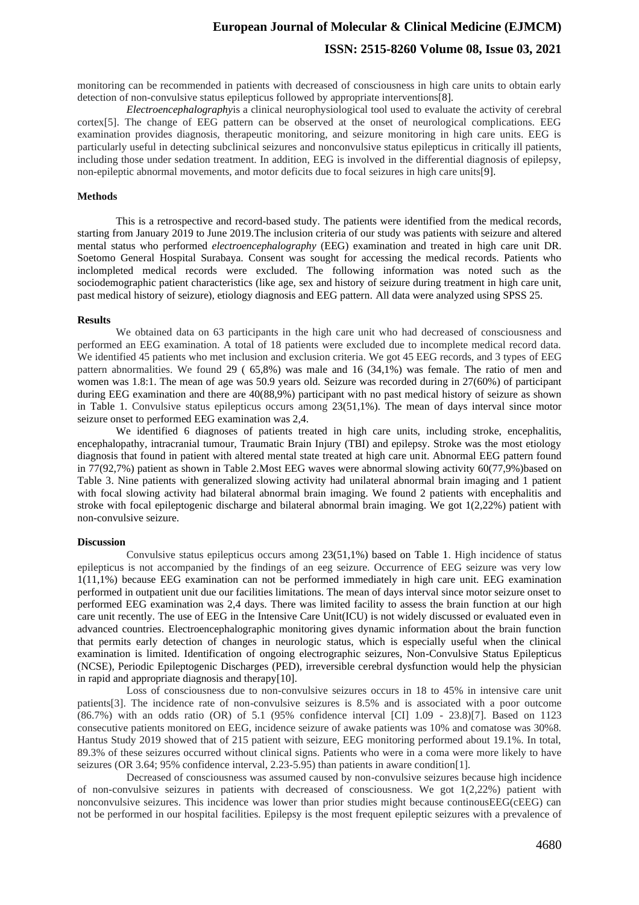## **European Journal of Molecular & Clinical Medicine (EJMCM) ISSN: 2515-8260 Volume 08, Issue 03, 2021**

monitoring can be recommended in patients with decreased of consciousness in high care units to obtain early detection of non-convulsive status epilepticus followed by appropriate interventions[8].

*Electroencephalography*is a clinical neurophysiological tool used to evaluate the activity of cerebral cortex[5]. The change of EEG pattern can be observed at the onset of neurological complications. EEG examination provides diagnosis, therapeutic monitoring, and seizure monitoring in high care units. EEG is particularly useful in detecting subclinical seizures and nonconvulsive status epilepticus in critically ill patients, including those under sedation treatment. In addition, EEG is involved in the differential diagnosis of epilepsy, non-epileptic abnormal movements, and motor deficits due to focal seizures in high care units[9].

### **Methods**

This is a retrospective and record-based study. The patients were identified from the medical records, starting from January 2019 to June 2019.The inclusion criteria of our study was patients with seizure and altered mental status who performed *electroencephalography* (EEG) examination and treated in high care unit DR. Soetomo General Hospital Surabaya. Consent was sought for accessing the medical records. Patients who inclompleted medical records were excluded. The following information was noted such as the sociodemographic patient characteristics (like age, sex and history of seizure during treatment in high care unit, past medical history of seizure), etiology diagnosis and EEG pattern. All data were analyzed using SPSS 25.

#### **Results**

We obtained data on 63 participants in the high care unit who had decreased of consciousness and performed an EEG examination. A total of 18 patients were excluded due to incomplete medical record data. We identified 45 patients who met inclusion and exclusion criteria. We got 45 EEG records, and 3 types of EEG pattern abnormalities. We found 29 ( 65,8%) was male and 16 (34,1%) was female. The ratio of men and women was 1.8:1. The mean of age was 50.9 years old. Seizure was recorded during in 27(60%) of participant during EEG examination and there are 40(88,9%) participant with no past medical history of seizure as shown in Table 1. Convulsive status epilepticus occurs among 23(51,1%). The mean of days interval since motor seizure onset to performed EEG examination was 2,4.

We identified 6 diagnoses of patients treated in high care units, including stroke, encephalitis, encephalopathy, intracranial tumour, Traumatic Brain Injury (TBI) and epilepsy. Stroke was the most etiology diagnosis that found in patient with altered mental state treated at high care unit. Abnormal EEG pattern found in 77(92,7%) patient as shown in Table 2.Most EEG waves were abnormal slowing activity 60(77,9%)based on Table 3. Nine patients with generalized slowing activity had unilateral abnormal brain imaging and 1 patient with focal slowing activity had bilateral abnormal brain imaging. We found 2 patients with encephalitis and stroke with focal epileptogenic discharge and bilateral abnormal brain imaging. We got 1(2,22%) patient with non-convulsive seizure.

#### **Discussion**

Convulsive status epilepticus occurs among 23(51,1%) based on Table 1. High incidence of status epilepticus is not accompanied by the findings of an eeg seizure. Occurrence of EEG seizure was very low 1(11,1%) because EEG examination can not be performed immediately in high care unit. EEG examination performed in outpatient unit due our facilities limitations. The mean of days interval since motor seizure onset to performed EEG examination was 2,4 days. There was limited facility to assess the brain function at our high care unit recently. The use of EEG in the Intensive Care Unit(ICU) is not widely discussed or evaluated even in advanced countries. Electroencephalographic monitoring gives dynamic information about the brain function that permits early detection of changes in neurologic status, which is especially useful when the clinical examination is limited. Identification of ongoing electrographic seizures, Non-Convulsive Status Epilepticus (NCSE), Periodic Epileptogenic Discharges (PED), irreversible cerebral dysfunction would help the physician in rapid and appropriate diagnosis and therapy[10].

Loss of consciousness due to non-convulsive seizures occurs in 18 to 45% in intensive care unit patients[3]. The incidence rate of non-convulsive seizures is 8.5% and is associated with a poor outcome (86.7%) with an odds ratio (OR) of 5.1 (95% confidence interval [CI] 1.09 - 23.8)[7]. Based on 1123 consecutive patients monitored on EEG, incidence seizure of awake patients was 10% and comatose was 30%8. Hantus Study 2019 showed that of 215 patient with seizure, EEG monitoring performed about 19.1%. In total, 89.3% of these seizures occurred without clinical signs. Patients who were in a coma were more likely to have seizures (OR 3.64; 95% confidence interval, 2.23-5.95) than patients in aware condition[1].

Decreased of consciousness was assumed caused by non-convulsive seizures because high incidence of non-convulsive seizures in patients with decreased of consciousness. We got 1(2,22%) patient with nonconvulsive seizures. This incidence was lower than prior studies might because continousEEG(cEEG) can not be performed in our hospital facilities. Epilepsy is the most frequent epileptic seizures with a prevalence of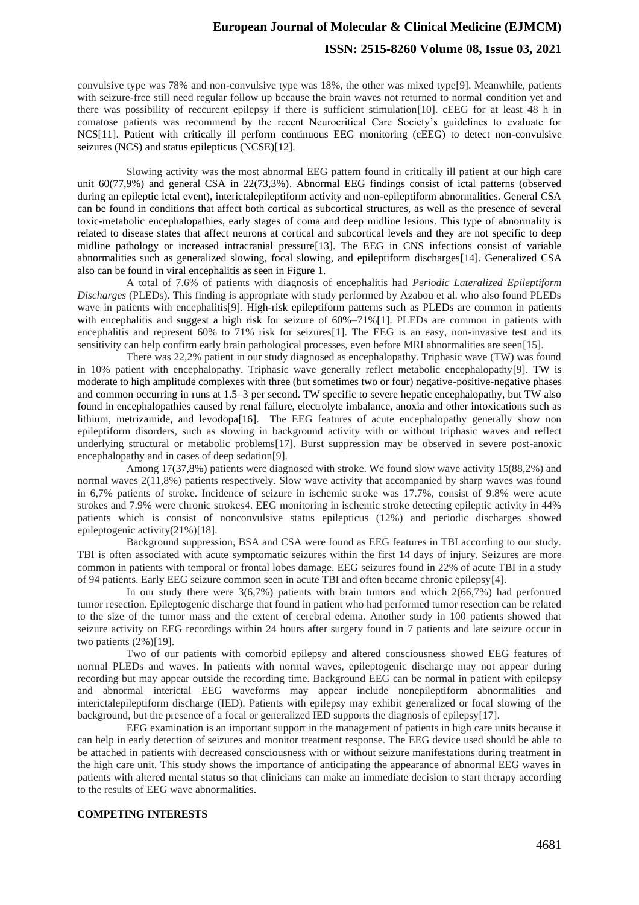### **European Journal of Molecular & Clinical Medicine (EJMCM)**

### **ISSN: 2515-8260 Volume 08, Issue 03, 2021**

convulsive type was 78% and non-convulsive type was 18%, the other was mixed type[9]. Meanwhile, patients with seizure-free still need regular follow up because the brain waves not returned to normal condition yet and there was possibility of reccurent epilepsy if there is sufficient stimulation[10]. cEEG for at least 48 h in comatose patients was recommend by the recent Neurocritical Care Society's guidelines to evaluate for NCS[11]. Patient with critically ill perform continuous EEG monitoring (cEEG) to detect non-convulsive seizures (NCS) and status epilepticus (NCSE)[12].

Slowing activity was the most abnormal EEG pattern found in critically ill patient at our high care unit 60(77,9%) and general CSA in 22(73,3%). Abnormal EEG findings consist of ictal patterns (observed during an epileptic ictal event), interictalepileptiform activity and non-epileptiform abnormalities. General CSA can be found in conditions that affect both cortical as subcortical structures, as well as the presence of several toxic-metabolic encephalopathies, early stages of coma and deep midline lesions. This type of abnormality is related to disease states that affect neurons at cortical and subcortical levels and they are not specific to deep midline pathology or increased intracranial pressure[13]. The EEG in CNS infections consist of variable abnormalities such as generalized slowing, focal slowing, and epileptiform discharges[14]. Generalized CSA also can be found in viral encephalitis as seen in Figure 1.

A total of 7.6% of patients with diagnosis of encephalitis had *Periodic Lateralized Epileptiform Discharges* (PLEDs). This finding is appropriate with study performed by Azabou et al. who also found PLEDs wave in patients with encephalitis[9]. High-risk epileptiform patterns such as PLEDs are common in patients with encephalitis and suggest a high risk for seizure of  $60\% -71\%$ [1]. PLEDs are common in patients with encephalitis and represent 60% to 71% risk for seizures[1]. The EEG is an easy, non-invasive test and its sensitivity can help confirm early brain pathological processes, even before MRI abnormalities are seen[15].

There was 22,2% patient in our study diagnosed as encephalopathy. Triphasic wave (TW) was found in 10% patient with encephalopathy. Triphasic wave generally reflect metabolic encephalopathy[9]. TW is moderate to high amplitude complexes with three (but sometimes two or four) negative-positive-negative phases and common occurring in runs at 1.5–3 per second. TW specific to severe hepatic encephalopathy, but TW also found in encephalopathies caused by renal failure, electrolyte imbalance, anoxia and other intoxications such as lithium, metrizamide, and levodopa[16]. The EEG features of acute encephalopathy generally show non epileptiform disorders, such as slowing in background activity with or without triphasic waves and reflect underlying structural or metabolic problems[17]. Burst suppression may be observed in severe post-anoxic encephalopathy and in cases of deep sedation[9].

Among 17(37,8%) patients were diagnosed with stroke. We found slow wave activity 15(88,2%) and normal waves 2(11,8%) patients respectively. Slow wave activity that accompanied by sharp waves was found in 6,7% patients of stroke. Incidence of seizure in ischemic stroke was 17.7%, consist of 9.8% were acute strokes and 7.9% were chronic strokes4. EEG monitoring in ischemic stroke detecting epileptic activity in 44% patients which is consist of nonconvulsive status epilepticus (12%) and periodic discharges showed epileptogenic activity(21%)[18].

Background suppression, BSA and CSA were found as EEG features in TBI according to our study. TBI is often associated with acute symptomatic seizures within the first 14 days of injury. Seizures are more common in patients with temporal or frontal lobes damage. EEG seizures found in 22% of acute TBI in a study of 94 patients. Early EEG seizure common seen in acute TBI and often became chronic epilepsy[4].

In our study there were  $3(6,7%)$  patients with brain tumors and which  $2(66,7%)$  had performed tumor resection. Epileptogenic discharge that found in patient who had performed tumor resection can be related to the size of the tumor mass and the extent of cerebral edema. Another study in 100 patients showed that seizure activity on EEG recordings within 24 hours after surgery found in 7 patients and late seizure occur in two patients (2%)[19].

Two of our patients with comorbid epilepsy and altered consciousness showed EEG features of normal PLEDs and waves. In patients with normal waves, epileptogenic discharge may not appear during recording but may appear outside the recording time. Background EEG can be normal in patient with epilepsy and abnormal interictal EEG waveforms may appear include nonepileptiform abnormalities and interictalepileptiform discharge (IED). Patients with epilepsy may exhibit generalized or focal slowing of the background, but the presence of a focal or generalized IED supports the diagnosis of epilepsy[17].

EEG examination is an important support in the management of patients in high care units because it can help in early detection of seizures and monitor treatment response. The EEG device used should be able to be attached in patients with decreased consciousness with or without seizure manifestations during treatment in the high care unit. This study shows the importance of anticipating the appearance of abnormal EEG waves in patients with altered mental status so that clinicians can make an immediate decision to start therapy according to the results of EEG wave abnormalities.

### **COMPETING INTERESTS**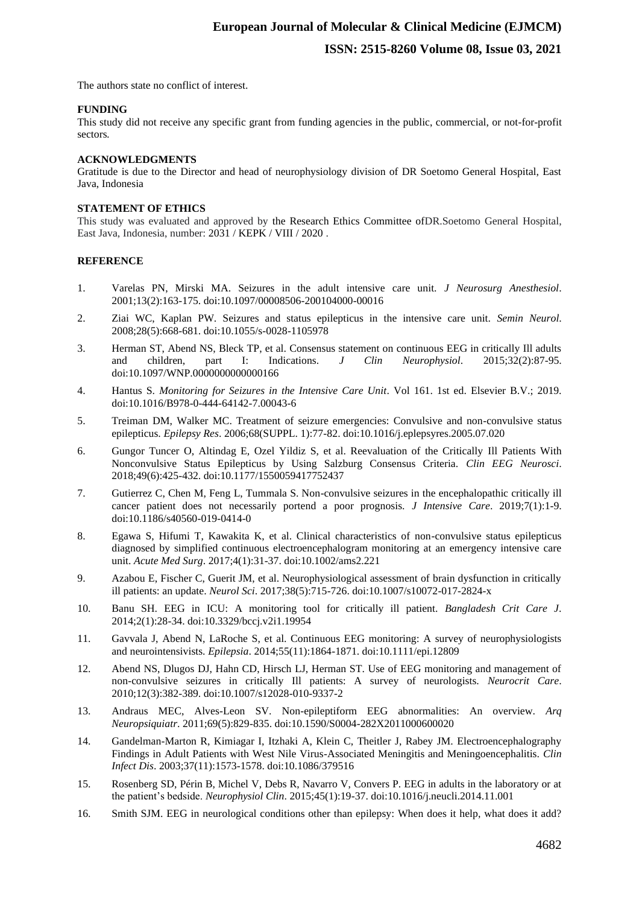The authors state no conflict of interest.

### **FUNDING**

This study did not receive any specific grant from funding agencies in the public, commercial, or not-for-profit sectors*.* 

### **ACKNOWLEDGMENTS**

Gratitude is due to the Director and head of neurophysiology division of DR Soetomo General Hospital, East Java, Indonesia

### **STATEMENT OF ETHICS**

This study was evaluated and approved by the Research Ethics Committee ofDR.Soetomo General Hospital, East Java, Indonesia, number: 2031 / KEPK / VIII / 2020 .

### **REFERENCE**

- 1. Varelas PN, Mirski MA. Seizures in the adult intensive care unit. *J Neurosurg Anesthesiol*. 2001;13(2):163-175. doi:10.1097/00008506-200104000-00016
- 2. Ziai WC, Kaplan PW. Seizures and status epilepticus in the intensive care unit. *Semin Neurol*. 2008;28(5):668-681. doi:10.1055/s-0028-1105978
- 3. Herman ST, Abend NS, Bleck TP, et al. Consensus statement on continuous EEG in critically Ill adults and children, part I: Indications. *J Clin Neurophysiol.* 2015;32(2):87-95. and children, part I: Indications. *J Clin Neurophysiol*. 2015;32(2):87-95. doi:10.1097/WNP.0000000000000166
- 4. Hantus S. *Monitoring for Seizures in the Intensive Care Unit*. Vol 161. 1st ed. Elsevier B.V.; 2019. doi:10.1016/B978-0-444-64142-7.00043-6
- 5. Treiman DM, Walker MC. Treatment of seizure emergencies: Convulsive and non-convulsive status epilepticus. *Epilepsy Res*. 2006;68(SUPPL. 1):77-82. doi:10.1016/j.eplepsyres.2005.07.020
- 6. Gungor Tuncer O, Altindag E, Ozel Yildiz S, et al. Reevaluation of the Critically Ill Patients With Nonconvulsive Status Epilepticus by Using Salzburg Consensus Criteria. *Clin EEG Neurosci*. 2018;49(6):425-432. doi:10.1177/1550059417752437
- 7. Gutierrez C, Chen M, Feng L, Tummala S. Non-convulsive seizures in the encephalopathic critically ill cancer patient does not necessarily portend a poor prognosis. *J Intensive Care*. 2019;7(1):1-9. doi:10.1186/s40560-019-0414-0
- 8. Egawa S, Hifumi T, Kawakita K, et al. Clinical characteristics of non-convulsive status epilepticus diagnosed by simplified continuous electroencephalogram monitoring at an emergency intensive care unit. *Acute Med Surg*. 2017;4(1):31-37. doi:10.1002/ams2.221
- 9. Azabou E, Fischer C, Guerit JM, et al. Neurophysiological assessment of brain dysfunction in critically ill patients: an update. *Neurol Sci*. 2017;38(5):715-726. doi:10.1007/s10072-017-2824-x
- 10. Banu SH. EEG in ICU: A monitoring tool for critically ill patient. *Bangladesh Crit Care J*. 2014;2(1):28-34. doi:10.3329/bccj.v2i1.19954
- 11. Gavvala J, Abend N, LaRoche S, et al. Continuous EEG monitoring: A survey of neurophysiologists and neurointensivists. *Epilepsia*. 2014;55(11):1864-1871. doi:10.1111/epi.12809
- 12. Abend NS, Dlugos DJ, Hahn CD, Hirsch LJ, Herman ST. Use of EEG monitoring and management of non-convulsive seizures in critically Ill patients: A survey of neurologists. *Neurocrit Care*. 2010;12(3):382-389. doi:10.1007/s12028-010-9337-2
- 13. Andraus MEC, Alves-Leon SV. Non-epileptiform EEG abnormalities: An overview. *Arq Neuropsiquiatr*. 2011;69(5):829-835. doi:10.1590/S0004-282X2011000600020
- 14. Gandelman-Marton R, Kimiagar I, Itzhaki A, Klein C, Theitler J, Rabey JM. Electroencephalography Findings in Adult Patients with West Nile Virus-Associated Meningitis and Meningoencephalitis. *Clin Infect Dis*. 2003;37(11):1573-1578. doi:10.1086/379516
- 15. Rosenberg SD, Périn B, Michel V, Debs R, Navarro V, Convers P. EEG in adults in the laboratory or at the patient's bedside. *Neurophysiol Clin*. 2015;45(1):19-37. doi:10.1016/j.neucli.2014.11.001
- 16. Smith SJM. EEG in neurological conditions other than epilepsy: When does it help, what does it add?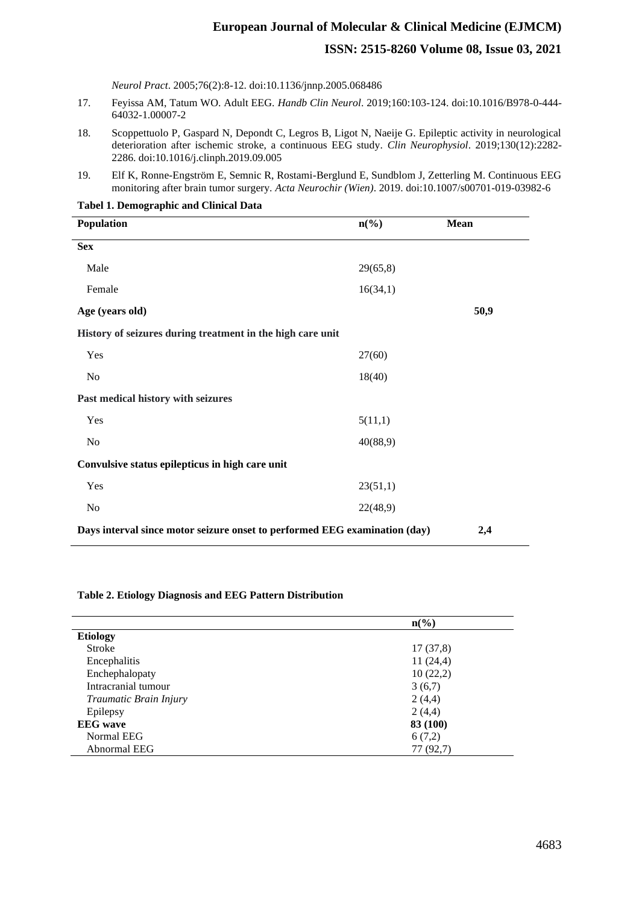# **European Journal of Molecular & Clinical Medicine (EJMCM) ISSN: 2515-8260 Volume 08, Issue 03, 2021**

*Neurol Pract*. 2005;76(2):8-12. doi:10.1136/jnnp.2005.068486

- 17. Feyissa AM, Tatum WO. Adult EEG. *Handb Clin Neurol*. 2019;160:103-124. doi:10.1016/B978-0-444- 64032-1.00007-2
- 18. Scoppettuolo P, Gaspard N, Depondt C, Legros B, Ligot N, Naeije G. Epileptic activity in neurological deterioration after ischemic stroke, a continuous EEG study. *Clin Neurophysiol*. 2019;130(12):2282- 2286. doi:10.1016/j.clinph.2019.09.005
- 19. Elf K, Ronne-Engström E, Semnic R, Rostami-Berglund E, Sundblom J, Zetterling M. Continuous EEG monitoring after brain tumor surgery. *Acta Neurochir (Wien)*. 2019. doi:10.1007/s00701-019-03982-6

**Tabel 1. Demographic and Clinical Data**

| Population                                                                 | $n\frac{6}{6}$ | <b>Mean</b> |
|----------------------------------------------------------------------------|----------------|-------------|
| <b>Sex</b>                                                                 |                |             |
| Male                                                                       | 29(65,8)       |             |
| Female                                                                     | 16(34,1)       |             |
| Age (years old)                                                            |                | 50,9        |
| History of seizures during treatment in the high care unit                 |                |             |
| Yes                                                                        | 27(60)         |             |
| No                                                                         | 18(40)         |             |
| Past medical history with seizures                                         |                |             |
| Yes                                                                        | 5(11,1)        |             |
| No                                                                         | 40(88,9)       |             |
| Convulsive status epilepticus in high care unit                            |                |             |
| Yes                                                                        | 23(51,1)       |             |
| No                                                                         | 22(48,9)       |             |
| Days interval since motor seizure onset to performed EEG examination (day) | 2,4            |             |

### **Table 2. Etiology Diagnosis and EEG Pattern Distribution**

|                        | $n\left(\frac{6}{6}\right)$ |
|------------------------|-----------------------------|
| <b>Etiology</b>        |                             |
| <b>Stroke</b>          | 17(37,8)                    |
| Encephalitis           | 11(24,4)                    |
| Enchephalopaty         | 10(22,2)                    |
| Intracranial tumour    | 3(6,7)                      |
| Traumatic Brain Injury | 2(4,4)                      |
| Epilepsy               | 2(4,4)                      |
| <b>EEG</b> wave        | 83 (100)                    |
| Normal EEG             | 6(7,2)                      |
| Abnormal EEG           | 77 (92,7)                   |